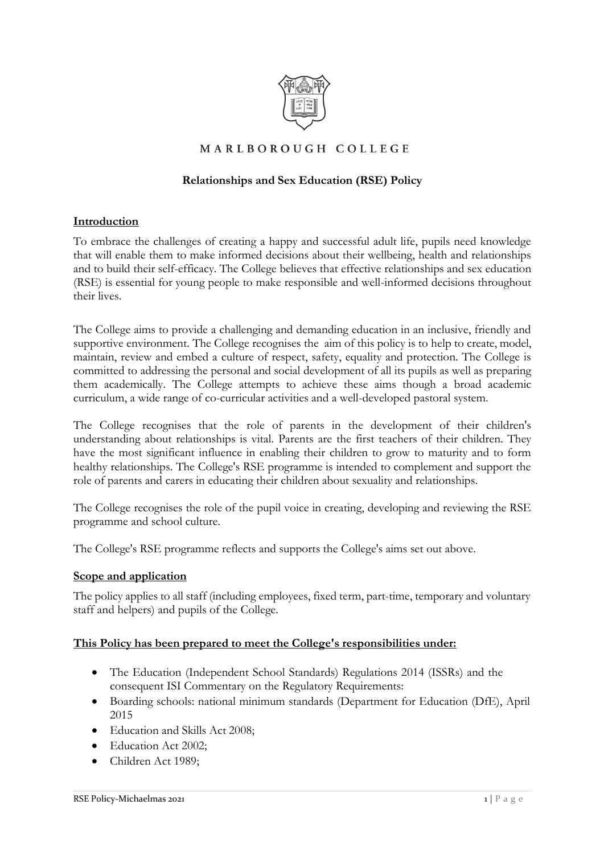

# MARLBOROUGH COLLEGE

# **Relationships and Sex Education (RSE) Policy**

### **Introduction**

To embrace the challenges of creating a happy and successful adult life, pupils need knowledge that will enable them to make informed decisions about their wellbeing, health and relationships and to build their self-efficacy. The College believes that effective relationships and sex education (RSE) is essential for young people to make responsible and well-informed decisions throughout their lives.

The College aims to provide a challenging and demanding education in an inclusive, friendly and supportive environment. The College recognises the aim of this policy is to help to create, model, maintain, review and embed a culture of respect, safety, equality and protection. The College is committed to addressing the personal and social development of all its pupils as well as preparing them academically. The College attempts to achieve these aims though a broad academic curriculum, a wide range of co-curricular activities and a well-developed pastoral system.

The College recognises that the role of parents in the development of their children's understanding about relationships is vital. Parents are the first teachers of their children. They have the most significant influence in enabling their children to grow to maturity and to form healthy relationships. The College's RSE programme is intended to complement and support the role of parents and carers in educating their children about sexuality and relationships.

The College recognises the role of the pupil voice in creating, developing and reviewing the RSE programme and school culture.

The College's RSE programme reflects and supports the College's aims set out above.

### **Scope and application**

The policy applies to all staff (including employees, fixed term, part-time, temporary and voluntary staff and helpers) and pupils of the College.

### **This Policy has been prepared to meet the College's responsibilities under:**

- The Education (Independent School Standards) Regulations 2014 (ISSRs) and the consequent ISI Commentary on the Regulatory Requirements:
- Boarding schools: national minimum standards (Department for Education (DfE), April 2015
- Education and Skills Act 2008;
- Education Act 2002;
- Children Act 1989;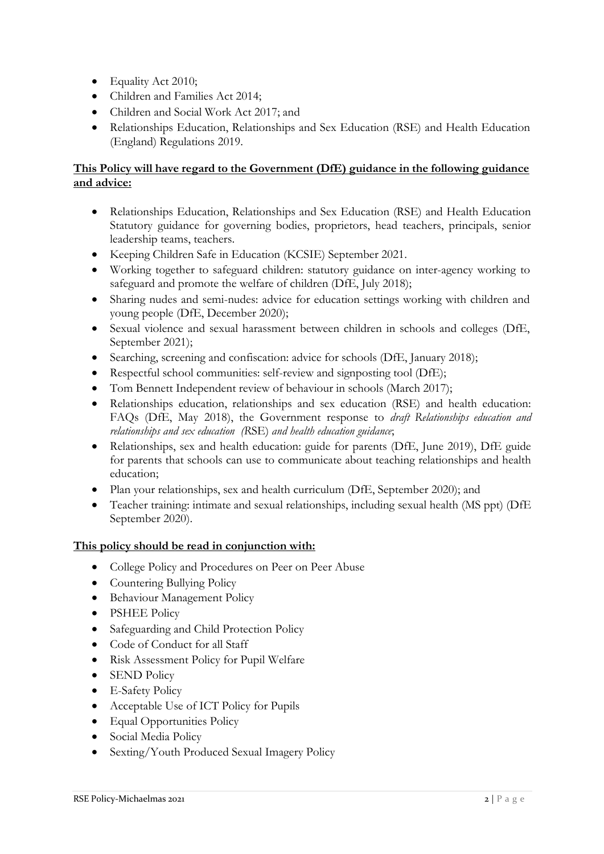- Equality Act 2010;
- Children and Families Act 2014;
- Children and Social Work Act 2017; and
- Relationships Education, Relationships and Sex Education (RSE) and Health Education (England) Regulations 2019.

# **This Policy will have regard to the Government (DfE) guidance in the following guidance and advice:**

- Relationships Education, Relationships and Sex Education (RSE) and Health Education Statutory guidance for governing bodies, proprietors, head teachers, principals, senior leadership teams, teachers.
- Keeping Children Safe in Education (KCSIE) September 2021.
- Working together to safeguard children: statutory guidance on inter-agency working to safeguard and promote the welfare of children (DfE, July 2018);
- Sharing nudes and semi-nudes: advice for education settings working with children and young people (DfE, December 2020);
- Sexual violence and sexual harassment between children in schools and colleges (DfE, September 2021);
- Searching, screening and confiscation: advice for schools (DfE, January 2018);
- Respectful school communities: self-review and signposting tool (DfE);
- Tom Bennett Independent review of behaviour in schools (March 2017);
- Relationships education, relationships and sex education (RSE) and health education: FAQs (DfE, May 2018), the Government response to *draft Relationships education and relationships and sex education (R*SE) *and health education guidance*;
- Relationships, sex and health education: guide for parents (DfE, June 2019), DfE guide for parents that schools can use to communicate about teaching relationships and health education;
- Plan your relationships, sex and health curriculum (DfE, September 2020); and
- Teacher training: intimate and sexual relationships, including sexual health (MS ppt) (DfE September 2020).

# **This policy should be read in conjunction with:**

- College Policy and Procedures on Peer on Peer Abuse
- Countering Bullying Policy
- Behaviour Management Policy
- PSHEE Policy
- Safeguarding and Child Protection Policy
- Code of Conduct for all Staff
- Risk Assessment Policy for Pupil Welfare
- SEND Policy
- E-Safety Policy
- Acceptable Use of ICT Policy for Pupils
- Equal Opportunities Policy
- Social Media Policy
- Sexting/Youth Produced Sexual Imagery Policy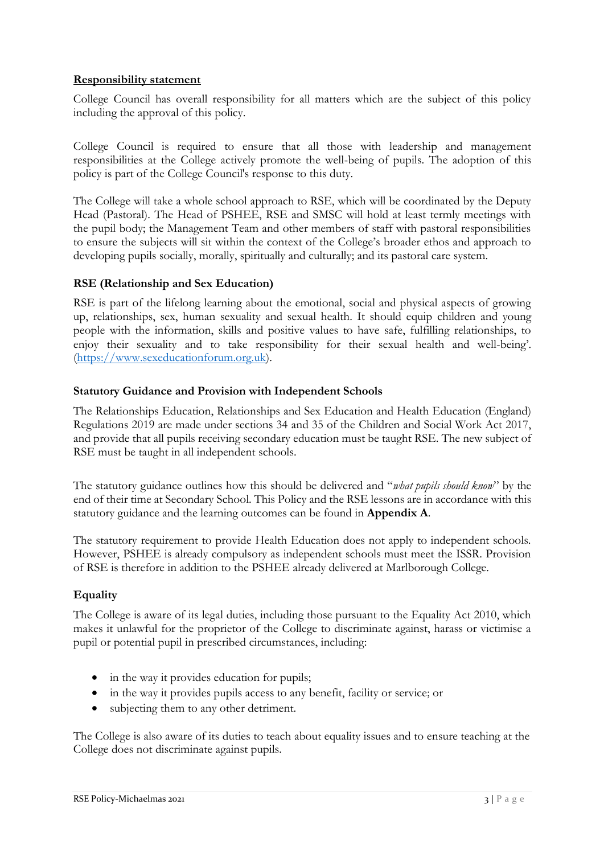# **Responsibility statement**

College Council has overall responsibility for all matters which are the subject of this policy including the approval of this policy.

College Council is required to ensure that all those with leadership and management responsibilities at the College actively promote the well-being of pupils. The adoption of this policy is part of the College Council's response to this duty.

The College will take a whole school approach to RSE, which will be coordinated by the Deputy Head (Pastoral). The Head of PSHEE, RSE and SMSC will hold at least termly meetings with the pupil body; the Management Team and other members of staff with pastoral responsibilities to ensure the subjects will sit within the context of the College's broader ethos and approach to developing pupils socially, morally, spiritually and culturally; and its pastoral care system.

# **RSE (Relationship and Sex Education)**

RSE is part of the lifelong learning about the emotional, social and physical aspects of growing up, relationships, sex, human sexuality and sexual health. It should equip children and young people with the information, skills and positive values to have safe, fulfilling relationships, to enjoy their sexuality and to take responsibility for their sexual health and well-being'. (https://www.sexeducationforum.org.uk).

## **Statutory Guidance and Provision with Independent Schools**

The Relationships Education, Relationships and Sex Education and Health Education (England) Regulations 2019 are made under sections 34 and 35 of the Children and Social Work Act 2017, and provide that all pupils receiving secondary education must be taught RSE. The new subject of RSE must be taught in all independent schools.

The statutory guidance outlines how this should be delivered and "*what pupils should know*" by the end of their time at Secondary School. This Policy and the RSE lessons are in accordance with this statutory guidance and the learning outcomes can be found in **Appendix A**.

The statutory requirement to provide Health Education does not apply to independent schools. However, PSHEE is already compulsory as independent schools must meet the ISSR. Provision of RSE is therefore in addition to the PSHEE already delivered at Marlborough College.

# **Equality**

The College is aware of its legal duties, including those pursuant to the Equality Act 2010, which makes it unlawful for the proprietor of the College to discriminate against, harass or victimise a pupil or potential pupil in prescribed circumstances, including:

- in the way it provides education for pupils;
- in the way it provides pupils access to any benefit, facility or service; or
- subjecting them to any other detriment.

The College is also aware of its duties to teach about equality issues and to ensure teaching at the College does not discriminate against pupils.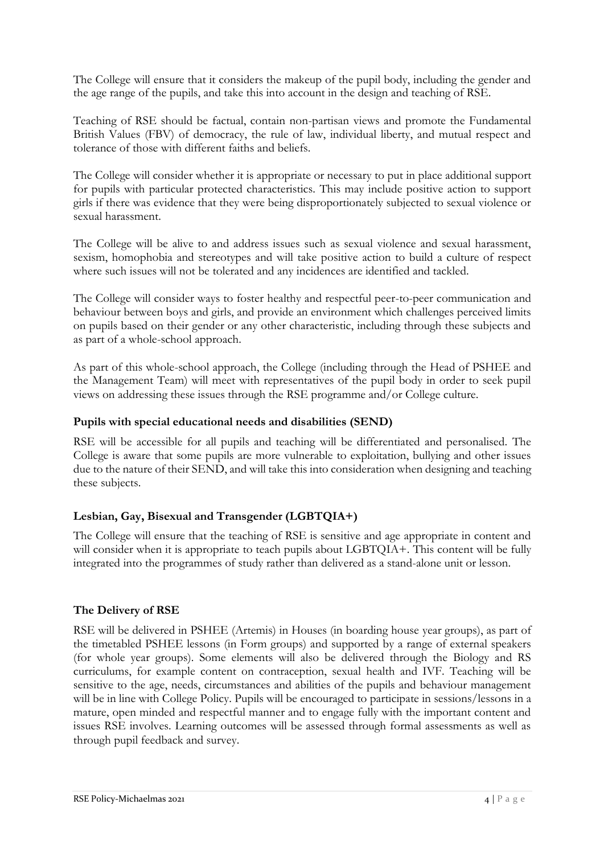The College will ensure that it considers the makeup of the pupil body, including the gender and the age range of the pupils, and take this into account in the design and teaching of RSE.

Teaching of RSE should be factual, contain non-partisan views and promote the Fundamental British Values (FBV) of democracy, the rule of law, individual liberty, and mutual respect and tolerance of those with different faiths and beliefs.

The College will consider whether it is appropriate or necessary to put in place additional support for pupils with particular protected characteristics. This may include positive action to support girls if there was evidence that they were being disproportionately subjected to sexual violence or sexual harassment.

The College will be alive to and address issues such as sexual violence and sexual harassment, sexism, homophobia and stereotypes and will take positive action to build a culture of respect where such issues will not be tolerated and any incidences are identified and tackled.

The College will consider ways to foster healthy and respectful peer-to-peer communication and behaviour between boys and girls, and provide an environment which challenges perceived limits on pupils based on their gender or any other characteristic, including through these subjects and as part of a whole-school approach.

As part of this whole-school approach, the College (including through the Head of PSHEE and the Management Team) will meet with representatives of the pupil body in order to seek pupil views on addressing these issues through the RSE programme and/or College culture.

## **Pupils with special educational needs and disabilities (SEND)**

RSE will be accessible for all pupils and teaching will be differentiated and personalised. The College is aware that some pupils are more vulnerable to exploitation, bullying and other issues due to the nature of their SEND, and will take this into consideration when designing and teaching these subjects.

# **Lesbian, Gay, Bisexual and Transgender (LGBTQIA+)**

The College will ensure that the teaching of RSE is sensitive and age appropriate in content and will consider when it is appropriate to teach pupils about LGBTQIA+. This content will be fully integrated into the programmes of study rather than delivered as a stand-alone unit or lesson.

# **The Delivery of RSE**

RSE will be delivered in PSHEE (Artemis) in Houses (in boarding house year groups), as part of the timetabled PSHEE lessons (in Form groups) and supported by a range of external speakers (for whole year groups). Some elements will also be delivered through the Biology and RS curriculums, for example content on contraception, sexual health and IVF. Teaching will be sensitive to the age, needs, circumstances and abilities of the pupils and behaviour management will be in line with College Policy. Pupils will be encouraged to participate in sessions/lessons in a mature, open minded and respectful manner and to engage fully with the important content and issues RSE involves. Learning outcomes will be assessed through formal assessments as well as through pupil feedback and survey.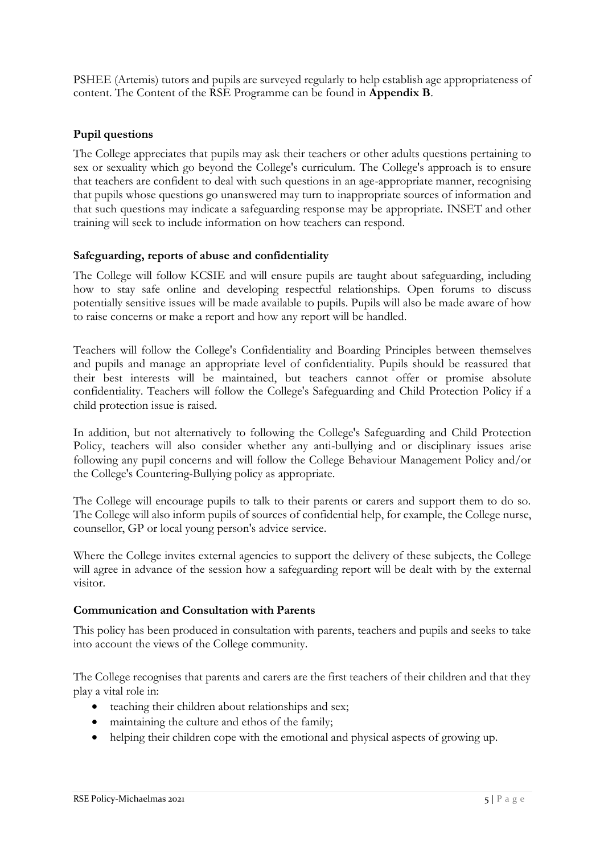PSHEE (Artemis) tutors and pupils are surveyed regularly to help establish age appropriateness of content. The Content of the RSE Programme can be found in **Appendix B**.

## **Pupil questions**

The College appreciates that pupils may ask their teachers or other adults questions pertaining to sex or sexuality which go beyond the College's curriculum. The College's approach is to ensure that teachers are confident to deal with such questions in an age-appropriate manner, recognising that pupils whose questions go unanswered may turn to inappropriate sources of information and that such questions may indicate a safeguarding response may be appropriate. INSET and other training will seek to include information on how teachers can respond.

### **Safeguarding, reports of abuse and confidentiality**

The College will follow KCSIE and will ensure pupils are taught about safeguarding, including how to stay safe online and developing respectful relationships. Open forums to discuss potentially sensitive issues will be made available to pupils. Pupils will also be made aware of how to raise concerns or make a report and how any report will be handled.

Teachers will follow the College's Confidentiality and Boarding Principles between themselves and pupils and manage an appropriate level of confidentiality. Pupils should be reassured that their best interests will be maintained, but teachers cannot offer or promise absolute confidentiality. Teachers will follow the College's Safeguarding and Child Protection Policy if a child protection issue is raised.

In addition, but not alternatively to following the College's Safeguarding and Child Protection Policy, teachers will also consider whether any anti-bullying and or disciplinary issues arise following any pupil concerns and will follow the College Behaviour Management Policy and/or the College's Countering-Bullying policy as appropriate.

The College will encourage pupils to talk to their parents or carers and support them to do so. The College will also inform pupils of sources of confidential help, for example, the College nurse, counsellor, GP or local young person's advice service.

Where the College invites external agencies to support the delivery of these subjects, the College will agree in advance of the session how a safeguarding report will be dealt with by the external visitor.

### **Communication and Consultation with Parents**

This policy has been produced in consultation with parents, teachers and pupils and seeks to take into account the views of the College community.

The College recognises that parents and carers are the first teachers of their children and that they play a vital role in:

- teaching their children about relationships and sex;
- maintaining the culture and ethos of the family;
- helping their children cope with the emotional and physical aspects of growing up.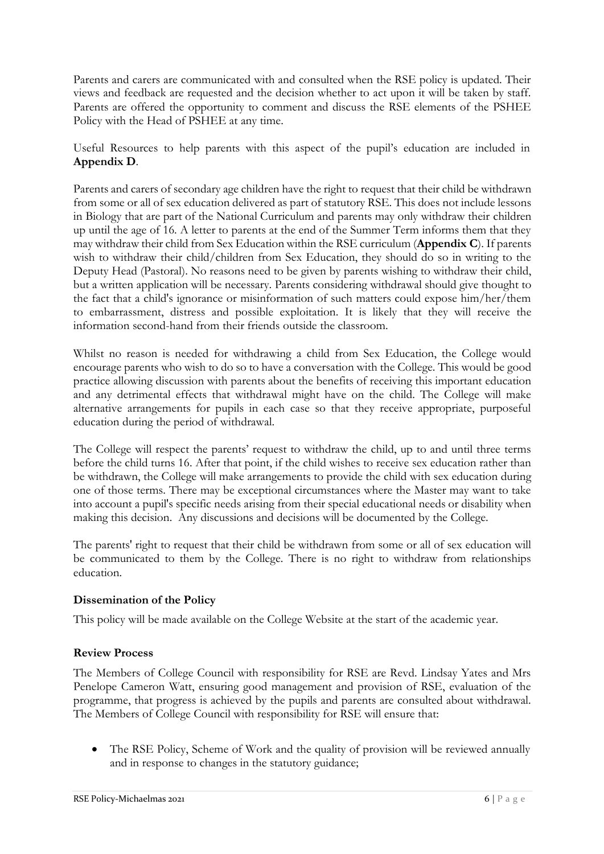Parents and carers are communicated with and consulted when the RSE policy is updated. Their views and feedback are requested and the decision whether to act upon it will be taken by staff. Parents are offered the opportunity to comment and discuss the RSE elements of the PSHEE Policy with the Head of PSHEE at any time.

Useful Resources to help parents with this aspect of the pupil's education are included in **Appendix D**.

Parents and carers of secondary age children have the right to request that their child be withdrawn from some or all of sex education delivered as part of statutory RSE. This does not include lessons in Biology that are part of the National Curriculum and parents may only withdraw their children up until the age of 16. A letter to parents at the end of the Summer Term informs them that they may withdraw their child from Sex Education within the RSE curriculum (**Appendix C**). If parents wish to withdraw their child/children from Sex Education, they should do so in writing to the Deputy Head (Pastoral). No reasons need to be given by parents wishing to withdraw their child, but a written application will be necessary. Parents considering withdrawal should give thought to the fact that a child's ignorance or misinformation of such matters could expose him/her/them to embarrassment, distress and possible exploitation. It is likely that they will receive the information second-hand from their friends outside the classroom.

Whilst no reason is needed for withdrawing a child from Sex Education, the College would encourage parents who wish to do so to have a conversation with the College. This would be good practice allowing discussion with parents about the benefits of receiving this important education and any detrimental effects that withdrawal might have on the child. The College will make alternative arrangements for pupils in each case so that they receive appropriate, purposeful education during the period of withdrawal.

The College will respect the parents' request to withdraw the child, up to and until three terms before the child turns 16. After that point, if the child wishes to receive sex education rather than be withdrawn, the College will make arrangements to provide the child with sex education during one of those terms. There may be exceptional circumstances where the Master may want to take into account a pupil's specific needs arising from their special educational needs or disability when making this decision. Any discussions and decisions will be documented by the College.

The parents' right to request that their child be withdrawn from some or all of sex education will be communicated to them by the College. There is no right to withdraw from relationships education.

# **Dissemination of the Policy**

This policy will be made available on the College Website at the start of the academic year.

# **Review Process**

The Members of College Council with responsibility for RSE are Revd. Lindsay Yates and Mrs Penelope Cameron Watt, ensuring good management and provision of RSE, evaluation of the programme, that progress is achieved by the pupils and parents are consulted about withdrawal. The Members of College Council with responsibility for RSE will ensure that:

• The RSE Policy, Scheme of Work and the quality of provision will be reviewed annually and in response to changes in the statutory guidance;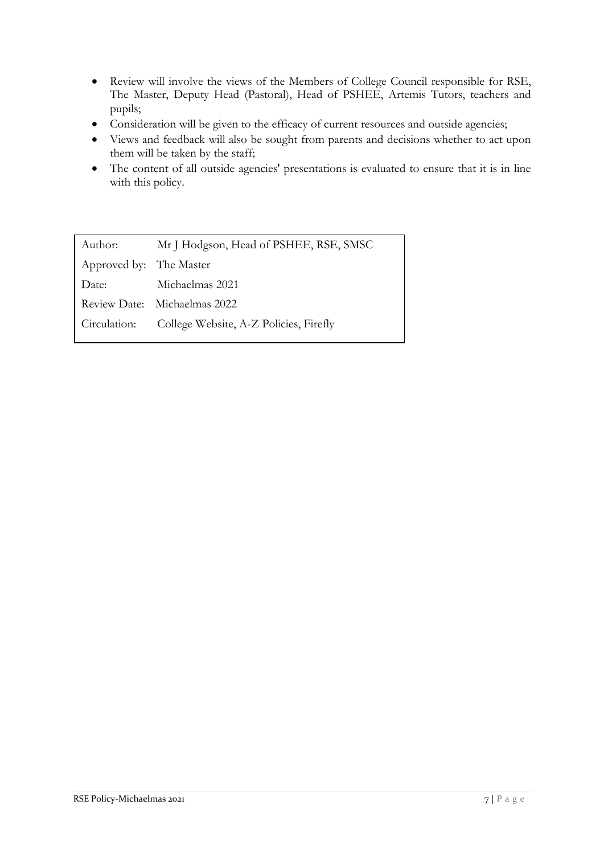- Review will involve the views of the Members of College Council responsible for RSE, The Master, Deputy Head (Pastoral), Head of PSHEE, Artemis Tutors, teachers and pupils;
- Consideration will be given to the efficacy of current resources and outside agencies;
- Views and feedback will also be sought from parents and decisions whether to act upon them will be taken by the staff;
- The content of all outside agencies' presentations is evaluated to ensure that it is in line with this policy.

| Author:                 | Mr J Hodgson, Head of PSHEE, RSE, SMSC              |
|-------------------------|-----------------------------------------------------|
| Approved by: The Master |                                                     |
| Date:                   | Michaelmas 2021                                     |
|                         | Review Date: Michaelmas 2022                        |
|                         | Circulation: College Website, A-Z Policies, Firefly |
|                         |                                                     |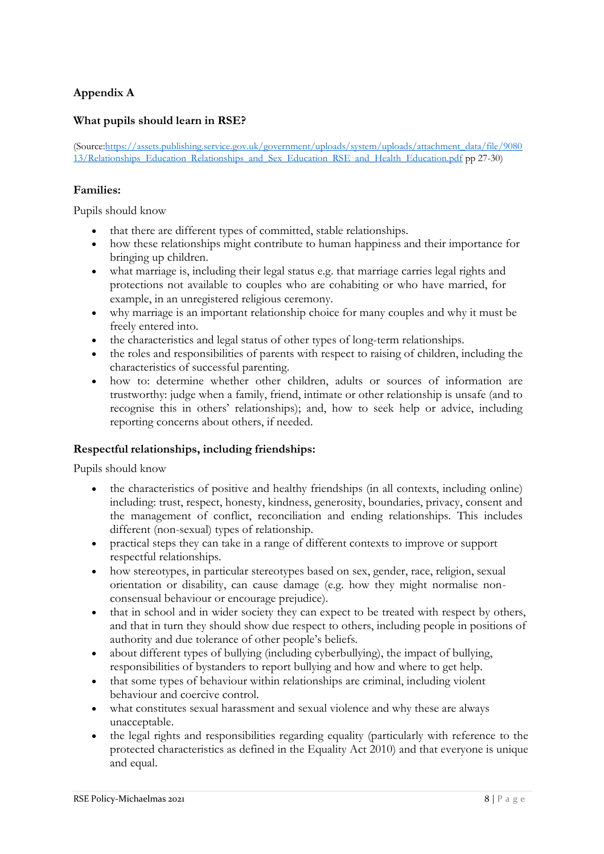# **Appendix A**

## **What pupils should learn in RSE?**

(Source:https://assets.publishing.service.gov.uk/government/uploads/system/uploads/attachment\_data/file/9080 13/Relationships\_Education Relationships\_and\_Sex\_Education RSE and\_Health\_Education.pdf pp 27-30)

### **Families:**

Pupils should know

- that there are different types of committed, stable relationships.
- how these relationships might contribute to human happiness and their importance for bringing up children.
- what marriage is, including their legal status e.g. that marriage carries legal rights and protections not available to couples who are cohabiting or who have married, for example, in an unregistered religious ceremony.
- why marriage is an important relationship choice for many couples and why it must be freely entered into.
- the characteristics and legal status of other types of long-term relationships.
- the roles and responsibilities of parents with respect to raising of children, including the characteristics of successful parenting.
- how to: determine whether other children, adults or sources of information are trustworthy: judge when a family, friend, intimate or other relationship is unsafe (and to recognise this in others' relationships); and, how to seek help or advice, including reporting concerns about others, if needed.

# **Respectful relationships, including friendships:**

Pupils should know

- the characteristics of positive and healthy friendships (in all contexts, including online) including: trust, respect, honesty, kindness, generosity, boundaries, privacy, consent and the management of conflict, reconciliation and ending relationships. This includes different (non-sexual) types of relationship.
- practical steps they can take in a range of different contexts to improve or support respectful relationships.
- how stereotypes, in particular stereotypes based on sex, gender, race, religion, sexual orientation or disability, can cause damage (e.g. how they might normalise nonconsensual behaviour or encourage prejudice).
- that in school and in wider society they can expect to be treated with respect by others, and that in turn they should show due respect to others, including people in positions of authority and due tolerance of other people's beliefs.
- about different types of bullying (including cyberbullying), the impact of bullying, responsibilities of bystanders to report bullying and how and where to get help.
- that some types of behaviour within relationships are criminal, including violent behaviour and coercive control.
- what constitutes sexual harassment and sexual violence and why these are always unacceptable.
- the legal rights and responsibilities regarding equality (particularly with reference to the protected characteristics as defined in the Equality Act 2010) and that everyone is unique and equal.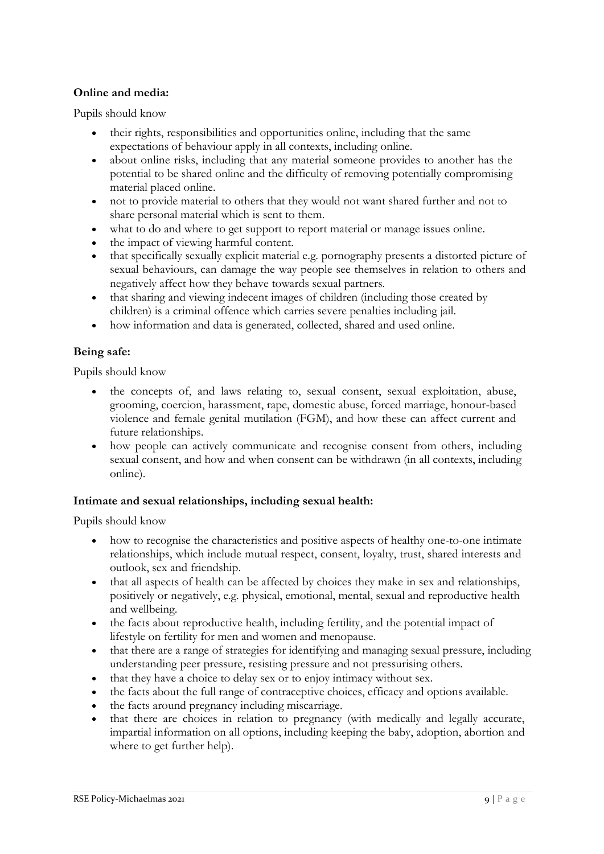# **Online and media:**

Pupils should know

- their rights, responsibilities and opportunities online, including that the same expectations of behaviour apply in all contexts, including online.
- about online risks, including that any material someone provides to another has the potential to be shared online and the difficulty of removing potentially compromising material placed online.
- not to provide material to others that they would not want shared further and not to share personal material which is sent to them.
- what to do and where to get support to report material or manage issues online.
- the impact of viewing harmful content.
- that specifically sexually explicit material e.g. pornography presents a distorted picture of sexual behaviours, can damage the way people see themselves in relation to others and negatively affect how they behave towards sexual partners.
- that sharing and viewing indecent images of children (including those created by children) is a criminal offence which carries severe penalties including jail.
- how information and data is generated, collected, shared and used online.

# **Being safe:**

Pupils should know

- the concepts of, and laws relating to, sexual consent, sexual exploitation, abuse, grooming, coercion, harassment, rape, domestic abuse, forced marriage, honour-based violence and female genital mutilation (FGM), and how these can affect current and future relationships.
- how people can actively communicate and recognise consent from others, including sexual consent, and how and when consent can be withdrawn (in all contexts, including online).

### **Intimate and sexual relationships, including sexual health:**

Pupils should know

- how to recognise the characteristics and positive aspects of healthy one-to-one intimate relationships, which include mutual respect, consent, loyalty, trust, shared interests and outlook, sex and friendship.
- that all aspects of health can be affected by choices they make in sex and relationships, positively or negatively, e.g. physical, emotional, mental, sexual and reproductive health and wellbeing.
- the facts about reproductive health, including fertility, and the potential impact of lifestyle on fertility for men and women and menopause.
- that there are a range of strategies for identifying and managing sexual pressure, including understanding peer pressure, resisting pressure and not pressurising others.
- that they have a choice to delay sex or to enjoy intimacy without sex.
- the facts about the full range of contraceptive choices, efficacy and options available.
- the facts around pregnancy including miscarriage.
- that there are choices in relation to pregnancy (with medically and legally accurate, impartial information on all options, including keeping the baby, adoption, abortion and where to get further help).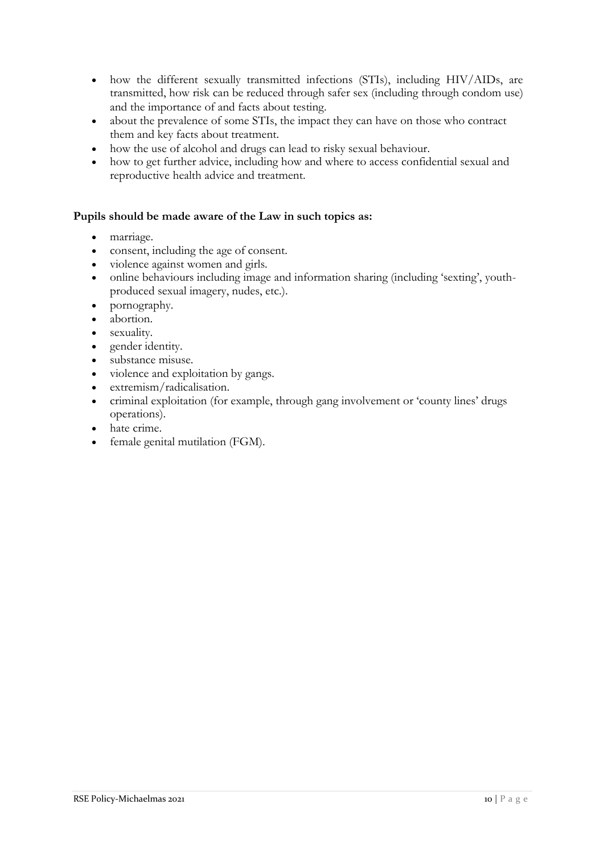- how the different sexually transmitted infections (STIs), including HIV/AIDs, are transmitted, how risk can be reduced through safer sex (including through condom use) and the importance of and facts about testing.
- about the prevalence of some STIs, the impact they can have on those who contract them and key facts about treatment.
- how the use of alcohol and drugs can lead to risky sexual behaviour.
- how to get further advice, including how and where to access confidential sexual and reproductive health advice and treatment.

## **Pupils should be made aware of the Law in such topics as:**

- marriage.
- consent, including the age of consent.
- violence against women and girls.<br>• online behaviours including image
- online behaviours including image and information sharing (including 'sexting', youthproduced sexual imagery, nudes, etc.).
- pornography.
- abortion.
- sexuality.
- gender identity.
- substance misuse.
- violence and exploitation by gangs.
- extremism/radicalisation.
- criminal exploitation (for example, through gang involvement or 'county lines' drugs operations).
- hate crime.
- female genital mutilation (FGM).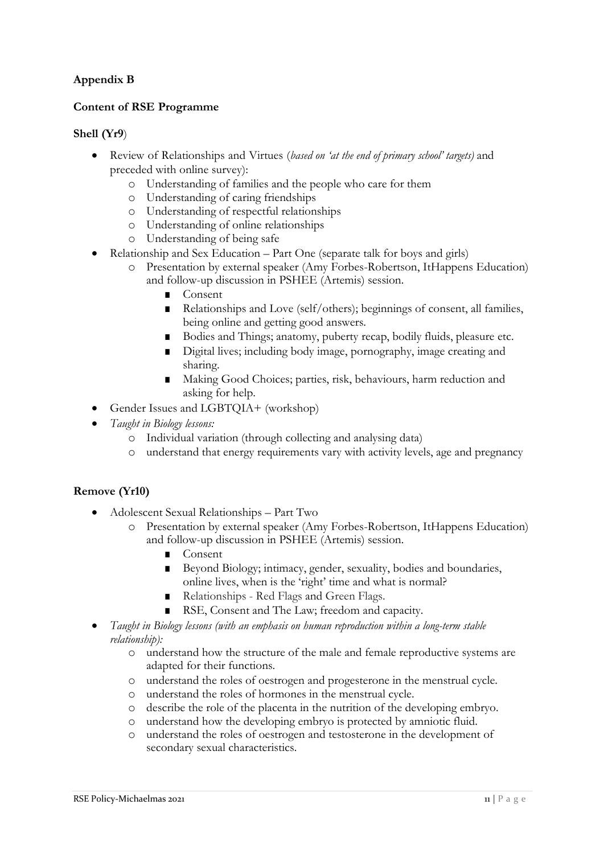# **Appendix B**

## **Content of RSE Programme**

## **Shell (Yr9**)

- Review of Relationships and Virtues (*based on 'at the end of primary school' targets)* and preceded with online survey):
	- o Understanding of families and the people who care for them
	- o Understanding of caring friendships
	- o Understanding of respectful relationships
	- o Understanding of online relationships
	- o Understanding of being safe
- Relationship and Sex Education Part One (separate talk for boys and girls)
	- o Presentation by external speaker (Amy Forbes-Robertson, ItHappens Education) and follow-up discussion in PSHEE (Artemis) session.
		- Consent
		- Relationships and Love (self/others); beginnings of consent, all families, being online and getting good answers.
		- Bodies and Things; anatomy, puberty recap, bodily fluids, pleasure etc.
		- Digital lives; including body image, pornography, image creating and sharing.
		- Making Good Choices; parties, risk, behaviours, harm reduction and asking for help.
- Gender Issues and LGBTQIA+ (workshop)
- *Taught in Biology lessons:*
	- o Individual variation (through collecting and analysing data)
	- o understand that energy requirements vary with activity levels, age and pregnancy

### **Remove (Yr10)**

- Adolescent Sexual Relationships Part Two
	- o Presentation by external speaker (Amy Forbes-Robertson, ItHappens Education) and follow-up discussion in PSHEE (Artemis) session.
		- Consent
		- Beyond Biology; intimacy, gender, sexuality, bodies and boundaries, online lives, when is the 'right' time and what is normal?
		- Relationships Red Flags and Green Flags.
		- RSE, Consent and The Law; freedom and capacity.
- *Taught in Biology lessons (with an emphasis on human reproduction within a long-term stable relationship):*
	- o understand how the structure of the male and female reproductive systems are adapted for their functions.
	- o understand the roles of oestrogen and progesterone in the menstrual cycle.
	- o understand the roles of hormones in the menstrual cycle.
	- o describe the role of the placenta in the nutrition of the developing embryo.
	- o understand how the developing embryo is protected by amniotic fluid.
	- o understand the roles of oestrogen and testosterone in the development of secondary sexual characteristics.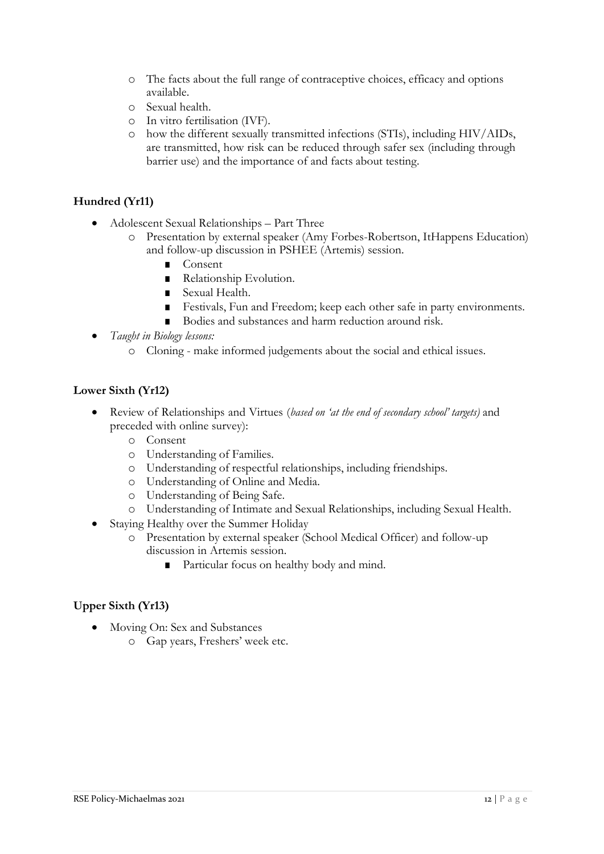- o The facts about the full range of contraceptive choices, efficacy and options available.
- o Sexual health.
- o In vitro fertilisation (IVF).
- o how the different sexually transmitted infections (STIs), including HIV/AIDs, are transmitted, how risk can be reduced through safer sex (including through barrier use) and the importance of and facts about testing.

# **Hundred (Yr11)**

- Adolescent Sexual Relationships Part Three
	- o Presentation by external speaker (Amy Forbes-Robertson, ItHappens Education) and follow-up discussion in PSHEE (Artemis) session.
		- Consent
		- Relationship Evolution.
		- Sexual Health.
		- Festivals, Fun and Freedom; keep each other safe in party environments.
		- Bodies and substances and harm reduction around risk.
- *Taught in Biology lessons:*
	- o Cloning make informed judgements about the social and ethical issues.

# **Lower Sixth (Yr12)**

- Review of Relationships and Virtues (*based on 'at the end of secondary school' targets)* and preceded with online survey):
	- o Consent
	- o Understanding of Families.
	- o Understanding of respectful relationships, including friendships.
	- o Understanding of Online and Media.
	- o Understanding of Being Safe.
	- o Understanding of Intimate and Sexual Relationships, including Sexual Health.
- Staying Healthy over the Summer Holiday
	- o Presentation by external speaker (School Medical Officer) and follow-up discussion in Artemis session.
		- Particular focus on healthy body and mind.

# **Upper Sixth (Yr13)**

- Moving On: Sex and Substances
	- o Gap years, Freshers' week etc.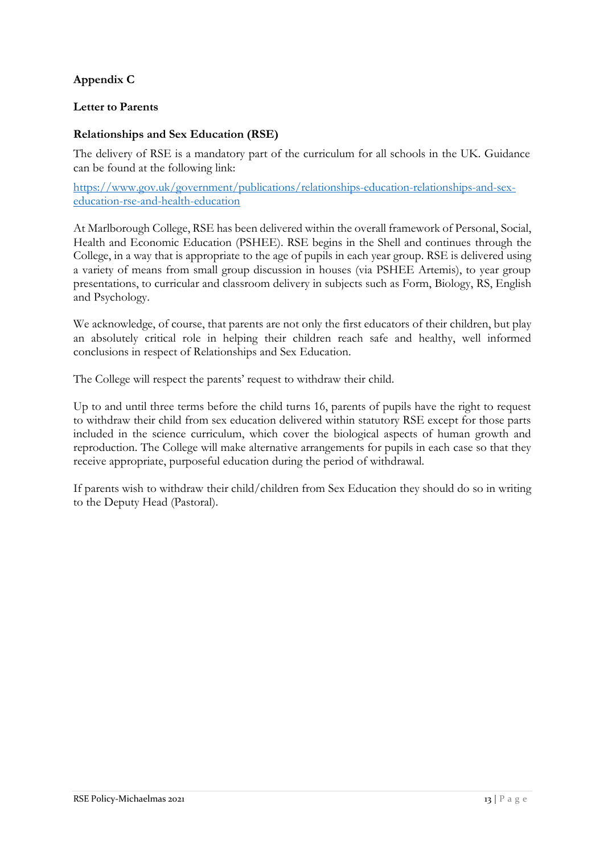# **Appendix C**

## **Letter to Parents**

### **Relationships and Sex Education (RSE)**

The delivery of RSE is a mandatory part of the curriculum for all schools in the UK. Guidance can be found at the following link:

https[://www.gov.uk/government/publications/relationships-education-relationships-and-sex](http://www.gov.uk/government/publications/relationships-education-relationships-and-sex-)education-rse-and-health-education

At Marlborough College, RSE has been delivered within the overall framework of Personal, Social, Health and Economic Education (PSHEE). RSE begins in the Shell and continues through the College, in a way that is appropriate to the age of pupils in each year group. RSE is delivered using a variety of means from small group discussion in houses (via PSHEE Artemis), to year group presentations, to curricular and classroom delivery in subjects such as Form, Biology, RS, English and Psychology.

We acknowledge, of course, that parents are not only the first educators of their children, but play an absolutely critical role in helping their children reach safe and healthy, well informed conclusions in respect of Relationships and Sex Education.

The College will respect the parents' request to withdraw their child.

Up to and until three terms before the child turns 16, parents of pupils have the right to request to withdraw their child from sex education delivered within statutory RSE except for those parts included in the science curriculum, which cover the biological aspects of human growth and reproduction. The College will make alternative arrangements for pupils in each case so that they receive appropriate, purposeful education during the period of withdrawal.

If parents wish to withdraw their child/children from Sex Education they should do so in writing to the Deputy Head (Pastoral).